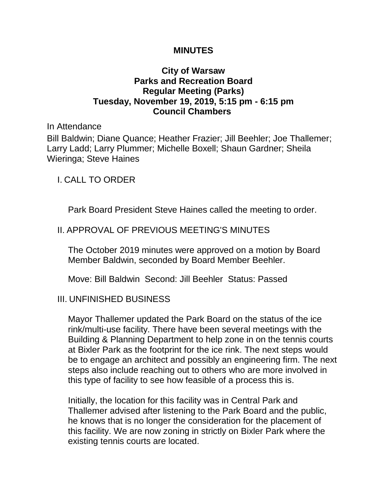#### **MINUTES**

### **City of Warsaw Parks and Recreation Board Regular Meeting (Parks) Tuesday, November 19, 2019, 5:15 pm - 6:15 pm Council Chambers**

In Attendance

Bill Baldwin; Diane Quance; Heather Frazier; Jill Beehler; Joe Thallemer; Larry Ladd; Larry Plummer; Michelle Boxell; Shaun Gardner; Sheila Wieringa; Steve Haines

I. CALL TO ORDER

Park Board President Steve Haines called the meeting to order.

# II. APPROVAL OF PREVIOUS MEETING'S MINUTES

The October 2019 minutes were approved on a motion by Board Member Baldwin, seconded by Board Member Beehler.

Move: Bill Baldwin Second: Jill Beehler Status: Passed

# III. UNFINISHED BUSINESS

Mayor Thallemer updated the Park Board on the status of the ice rink/multi-use facility. There have been several meetings with the Building & Planning Department to help zone in on the tennis courts at Bixler Park as the footprint for the ice rink. The next steps would be to engage an architect and possibly an engineering firm. The next steps also include reaching out to others who are more involved in this type of facility to see how feasible of a process this is.

Initially, the location for this facility was in Central Park and Thallemer advised after listening to the Park Board and the public, he knows that is no longer the consideration for the placement of this facility. We are now zoning in strictly on Bixler Park where the existing tennis courts are located.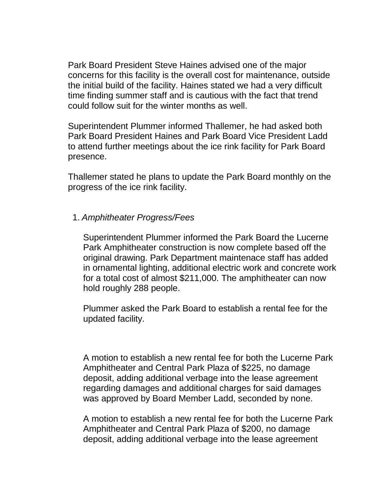Park Board President Steve Haines advised one of the major concerns for this facility is the overall cost for maintenance, outside the initial build of the facility. Haines stated we had a very difficult time finding summer staff and is cautious with the fact that trend could follow suit for the winter months as well.

Superintendent Plummer informed Thallemer, he had asked both Park Board President Haines and Park Board Vice President Ladd to attend further meetings about the ice rink facility for Park Board presence.

Thallemer stated he plans to update the Park Board monthly on the progress of the ice rink facility.

### 1. *Amphitheater Progress/Fees*

Superintendent Plummer informed the Park Board the Lucerne Park Amphitheater construction is now complete based off the original drawing. Park Department maintenace staff has added in ornamental lighting, additional electric work and concrete work for a total cost of almost \$211,000. The amphitheater can now hold roughly 288 people.

Plummer asked the Park Board to establish a rental fee for the updated facility.

A motion to establish a new rental fee for both the Lucerne Park Amphitheater and Central Park Plaza of \$225, no damage deposit, adding additional verbage into the lease agreement regarding damages and additional charges for said damages was approved by Board Member Ladd, seconded by none.

A motion to establish a new rental fee for both the Lucerne Park Amphitheater and Central Park Plaza of \$200, no damage deposit, adding additional verbage into the lease agreement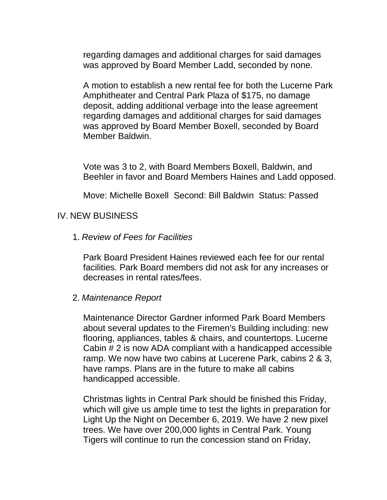regarding damages and additional charges for said damages was approved by Board Member Ladd, seconded by none.

A motion to establish a new rental fee for both the Lucerne Park Amphitheater and Central Park Plaza of \$175, no damage deposit, adding additional verbage into the lease agreement regarding damages and additional charges for said damages was approved by Board Member Boxell, seconded by Board Member Baldwin.

Vote was 3 to 2, with Board Members Boxell, Baldwin, and Beehler in favor and Board Members Haines and Ladd opposed.

Move: Michelle Boxell Second: Bill Baldwin Status: Passed

#### IV. NEW BUSINESS

1. *Review of Fees for Facilities*

Park Board President Haines reviewed each fee for our rental facilities. Park Board members did not ask for any increases or decreases in rental rates/fees.

2. *Maintenance Report*

Maintenance Director Gardner informed Park Board Members about several updates to the Firemen's Building including: new flooring, appliances, tables & chairs, and countertops. Lucerne Cabin # 2 is now ADA compliant with a handicapped accessible ramp. We now have two cabins at Lucerene Park, cabins 2 & 3, have ramps. Plans are in the future to make all cabins handicapped accessible.

Christmas lights in Central Park should be finished this Friday, which will give us ample time to test the lights in preparation for Light Up the Night on December 6, 2019. We have 2 new pixel trees. We have over 200,000 lights in Central Park. Young Tigers will continue to run the concession stand on Friday,